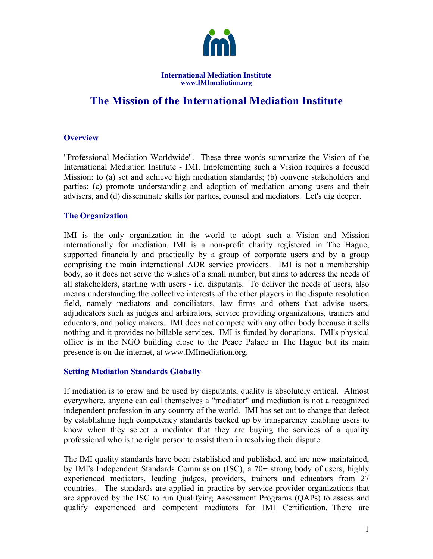

**International Mediation Institute www.IMImediation.org** 

# **The Mission of the International Mediation Institute**

# **Overview**

"Professional Mediation Worldwide". These three words summarize the Vision of the International Mediation Institute - IMI. Implementing such a Vision requires a focused Mission: to (a) set and achieve high mediation standards; (b) convene stakeholders and parties; (c) promote understanding and adoption of mediation among users and their advisers, and (d) disseminate skills for parties, counsel and mediators. Let's dig deeper.

#### **The Organization**

IMI is the only organization in the world to adopt such a Vision and Mission internationally for mediation. IMI is a non-profit charity registered in The Hague, supported financially and practically by a group of corporate users and by a group comprising the main international ADR service providers. IMI is not a membership body, so it does not serve the wishes of a small number, but aims to address the needs of all stakeholders, starting with users - i.e. disputants. To deliver the needs of users, also means understanding the collective interests of the other players in the dispute resolution field, namely mediators and conciliators, law firms and others that advise users, adjudicators such as judges and arbitrators, service providing organizations, trainers and educators, and policy makers. IMI does not compete with any other body because it sells nothing and it provides no billable services. IMI is funded by donations. IMI's physical office is in the NGO building close to the Peace Palace in The Hague but its main presence is on the internet, at www.IMImediation.org.

#### **Setting Mediation Standards Globally**

If mediation is to grow and be used by disputants, quality is absolutely critical. Almost everywhere, anyone can call themselves a "mediator" and mediation is not a recognized independent profession in any country of the world. IMI has set out to change that defect by establishing high competency standards backed up by transparency enabling users to know when they select a mediator that they are buying the services of a quality professional who is the right person to assist them in resolving their dispute.

The IMI quality standards have been established and published, and are now maintained, by IMI's Independent Standards Commission (ISC), a 70+ strong body of users, highly experienced mediators, leading judges, providers, trainers and educators from 27 countries. The standards are applied in practice by service provider organizations that are approved by the ISC to run Qualifying Assessment Programs (QAPs) to assess and qualify experienced and competent mediators for IMI Certification. There are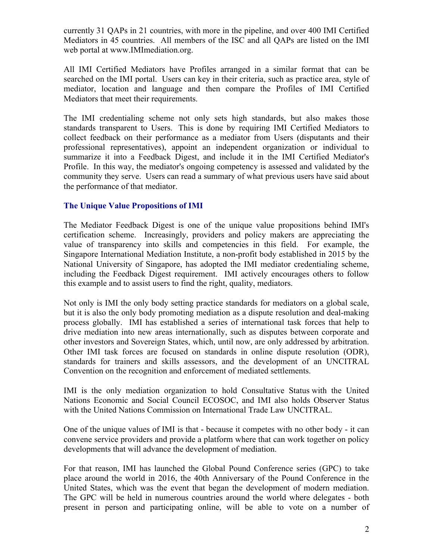currently 31 QAPs in 21 countries, with more in the pipeline, and over 400 IMI Certified Mediators in 45 countries. All members of the ISC and all QAPs are listed on the IMI web portal at www.IMImediation.org.

All IMI Certified Mediators have Profiles arranged in a similar format that can be searched on the IMI portal. Users can key in their criteria, such as practice area, style of mediator, location and language and then compare the Profiles of IMI Certified Mediators that meet their requirements.

The IMI credentialing scheme not only sets high standards, but also makes those standards transparent to Users. This is done by requiring IMI Certified Mediators to collect feedback on their performance as a mediator from Users (disputants and their professional representatives), appoint an independent organization or individual to summarize it into a Feedback Digest, and include it in the IMI Certified Mediator's Profile. In this way, the mediator's ongoing competency is assessed and validated by the community they serve. Users can read a summary of what previous users have said about the performance of that mediator.

# **The Unique Value Propositions of IMI**

The Mediator Feedback Digest is one of the unique value propositions behind IMI's certification scheme. Increasingly, providers and policy makers are appreciating the value of transparency into skills and competencies in this field. For example, the Singapore International Mediation Institute, a non-profit body established in 2015 by the National University of Singapore, has adopted the IMI mediator credentialing scheme, including the Feedback Digest requirement. IMI actively encourages others to follow this example and to assist users to find the right, quality, mediators.

Not only is IMI the only body setting practice standards for mediators on a global scale, but it is also the only body promoting mediation as a dispute resolution and deal-making process globally. IMI has established a series of international task forces that help to drive mediation into new areas internationally, such as disputes between corporate and other investors and Sovereign States, which, until now, are only addressed by arbitration. Other IMI task forces are focused on standards in online dispute resolution (ODR), standards for trainers and skills assessors, and the development of an UNCITRAL Convention on the recognition and enforcement of mediated settlements.

IMI is the only mediation organization to hold Consultative Status with the United Nations Economic and Social Council ECOSOC, and IMI also holds Observer Status with the United Nations Commission on International Trade Law UNCITRAL.

One of the unique values of IMI is that - because it competes with no other body - it can convene service providers and provide a platform where that can work together on policy developments that will advance the development of mediation.

For that reason, IMI has launched the Global Pound Conference series (GPC) to take place around the world in 2016, the 40th Anniversary of the Pound Conference in the United States, which was the event that began the development of modern mediation. The GPC will be held in numerous countries around the world where delegates - both present in person and participating online, will be able to vote on a number of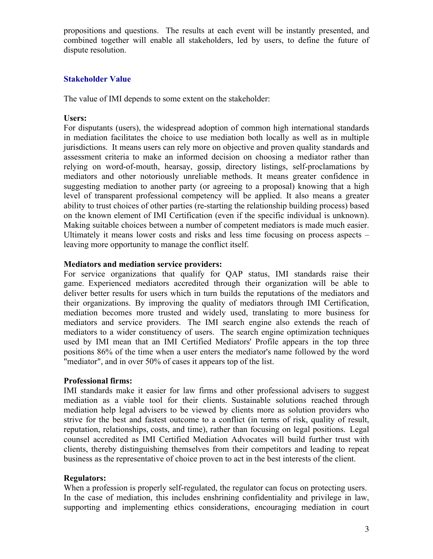propositions and questions. The results at each event will be instantly presented, and combined together will enable all stakeholders, led by users, to define the future of dispute resolution.

# **Stakeholder Value**

The value of IMI depends to some extent on the stakeholder:

#### **Users:**

For disputants (users), the widespread adoption of common high international standards in mediation facilitates the choice to use mediation both locally as well as in multiple jurisdictions. It means users can rely more on objective and proven quality standards and assessment criteria to make an informed decision on choosing a mediator rather than relying on word-of-mouth, hearsay, gossip, directory listings, self-proclamations by mediators and other notoriously unreliable methods. It means greater confidence in suggesting mediation to another party (or agreeing to a proposal) knowing that a high level of transparent professional competency will be applied. It also means a greater ability to trust choices of other parties (re-starting the relationship building process) based on the known element of IMI Certification (even if the specific individual is unknown). Making suitable choices between a number of competent mediators is made much easier. Ultimately it means lower costs and risks and less time focusing on process aspects – leaving more opportunity to manage the conflict itself.

#### **Mediators and mediation service providers:**

For service organizations that qualify for QAP status, IMI standards raise their game. Experienced mediators accredited through their organization will be able to deliver better results for users which in turn builds the reputations of the mediators and their organizations. By improving the quality of mediators through IMI Certification, mediation becomes more trusted and widely used, translating to more business for mediators and service providers. The IMI search engine also extends the reach of mediators to a wider constituency of users. The search engine optimization techniques used by IMI mean that an IMI Certified Mediators' Profile appears in the top three positions 86% of the time when a user enters the mediator's name followed by the word "mediator", and in over 50% of cases it appears top of the list.

#### **Professional firms:**

IMI standards make it easier for law firms and other professional advisers to suggest mediation as a viable tool for their clients. Sustainable solutions reached through mediation help legal advisers to be viewed by clients more as solution providers who strive for the best and fastest outcome to a conflict (in terms of risk, quality of result, reputation, relationships, costs, and time), rather than focusing on legal positions. Legal counsel accredited as IMI Certified Mediation Advocates will build further trust with clients, thereby distinguishing themselves from their competitors and leading to repeat business as the representative of choice proven to act in the best interests of the client.

# **Regulators:**

When a profession is properly self-regulated, the regulator can focus on protecting users. In the case of mediation, this includes enshrining confidentiality and privilege in law, supporting and implementing ethics considerations, encouraging mediation in court